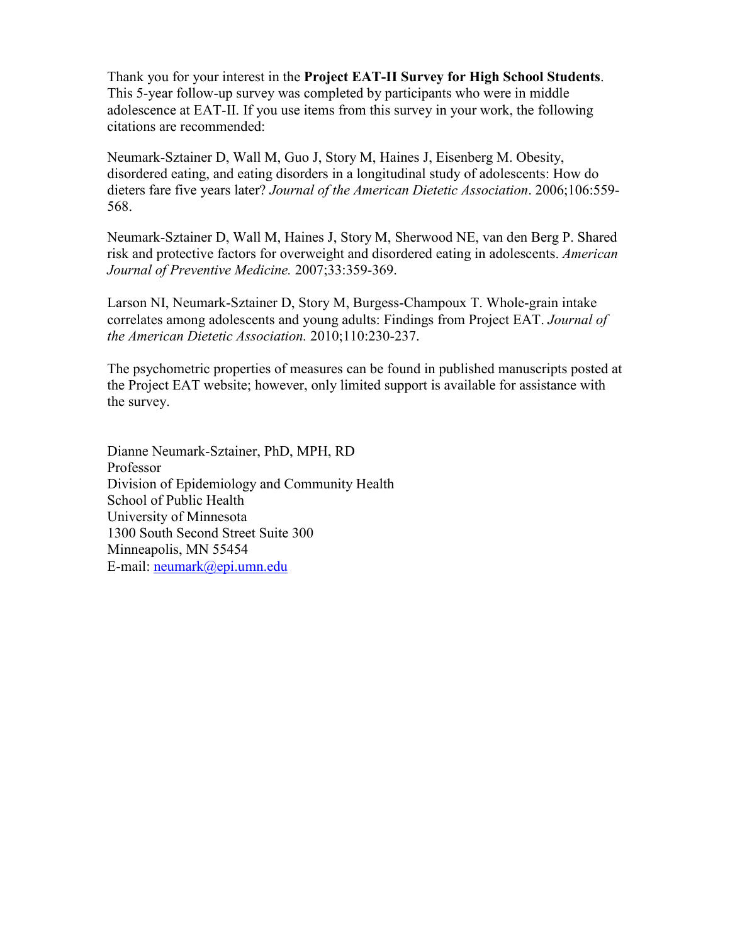Thank you for your interest in the **Project EAT-II Survey for High School Students**. This 5-year follow-up survey was completed by participants who were in middle adolescence at EAT-II. If you use items from this survey in your work, the following citations are recommended:

Neumark-Sztainer D, Wall M, Guo J, Story M, Haines J, Eisenberg M. Obesity, disordered eating, and eating disorders in a longitudinal study of adolescents: How do dieters fare five years later? *Journal of the American Dietetic Association*. 2006;106:559- 568.

Neumark-Sztainer D, Wall M, Haines J, Story M, Sherwood NE, van den Berg P. Shared risk and protective factors for overweight and disordered eating in adolescents. *American Journal of Preventive Medicine.* 2007;33:359-369.

Larson NI, Neumark-Sztainer D, Story M, Burgess-Champoux T. Whole-grain intake correlates among adolescents and young adults: Findings from Project EAT. *Journal of the American Dietetic Association.* 2010;110:230-237.

The psychometric properties of measures can be found in published manuscripts posted at the Project EAT website; however, only limited support is available for assistance with the survey.

Dianne Neumark-Sztainer, PhD, MPH, RD Professor Division of Epidemiology and Community Health School of Public Health University of Minnesota 1300 South Second Street Suite 300 Minneapolis, MN 55454 E-mail: [neumark@epi.umn.edu](mailto:neumark@epi.umn.edu)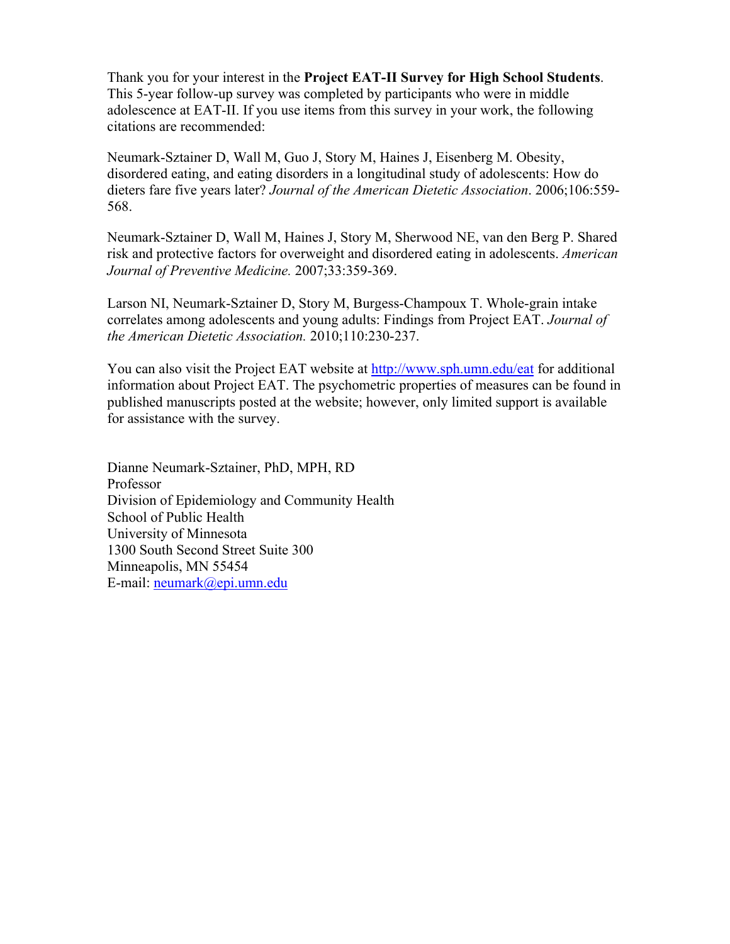Thank you for your interest in the **Project EAT-II Survey for High School Students**. This 5-year follow-up survey was completed by participants who were in middle adolescence at EAT-II. If you use items from this survey in your work, the following citations are recommended:

Neumark-Sztainer D, Wall M, Guo J, Story M, Haines J, Eisenberg M. Obesity, disordered eating, and eating disorders in a longitudinal study of adolescents: How do dieters fare five years later? *Journal of the American Dietetic Association*. 2006;106:559- 568.

Neumark-Sztainer D, Wall M, Haines J, Story M, Sherwood NE, van den Berg P. Shared risk and protective factors for overweight and disordered eating in adolescents. *American Journal of Preventive Medicine.* 2007;33:359-369.

Larson NI, Neumark-Sztainer D, Story M, Burgess-Champoux T. Whole-grain intake correlates among adolescents and young adults: Findings from Project EAT. *Journal of the American Dietetic Association.* 2010;110:230-237.

You can also visit the Project EAT website at http://www.sph.umn.edu/eat for additional information about Project EAT. The psychometric properties of measures can be found in published manuscripts posted at the website; however, only limited support is available for assistance with the survey.

Dianne Neumark-Sztainer, PhD, MPH, RD Professor Division of Epidemiology and Community Health School of Public Health University of Minnesota 1300 South Second Street Suite 300 Minneapolis, MN 55454 E-mail: neumark@epi.umn.edu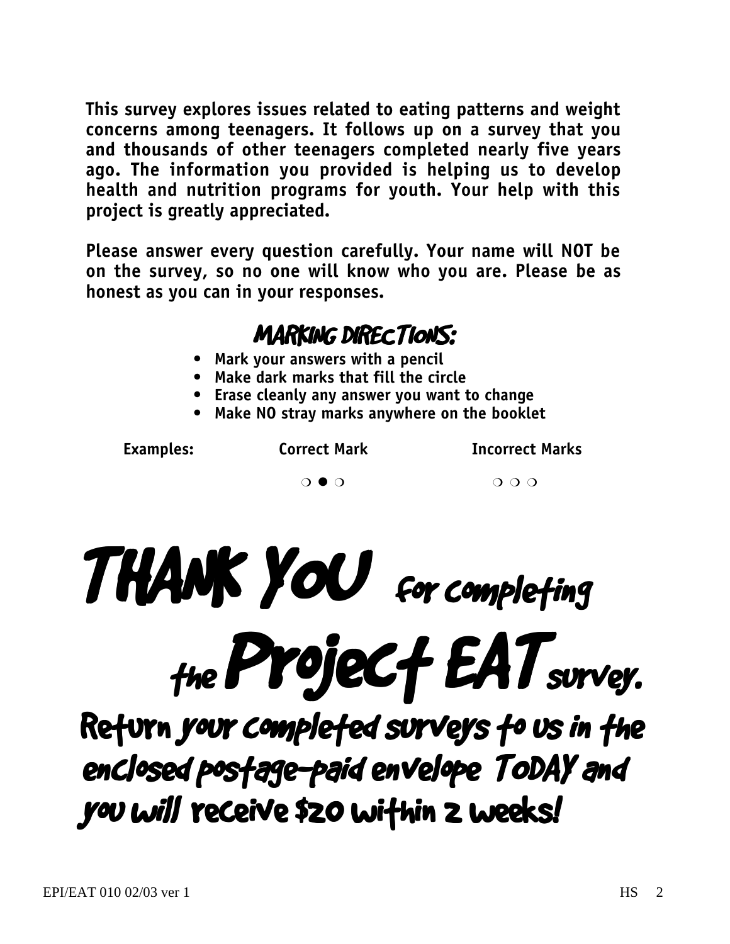**This survey explores issues related to eating patterns and weight concerns among teenagers. It follows up on a survey that you and thousands of other teenagers completed nearly five years ago. The information you provided is helping us to develop health and nutrition programs for youth. Your help with this project is greatly appreciated.**

**Please answer every question carefully. Your name will NOT be on the survey, so no one will know who you are. Please be as honest as you can in your responses.**

### MARKING DIRECTIONS:

- **Mark your answers with a pencil**
- **Make dark marks that fill the circle**
- **Erase cleanly any answer you want to change**
- **Make NO stray marks anywhere on the booklet**

Examples: Correct Mark **Incorrect Marks** 

 $\overline{O} \bullet \overline{O}$   $\overline{O} \bullet \overline{O}$ 



the Project EAT survey.

Return your completed surveys to us in the enclosed postage-paid envelope TODAY and you will receive \$20 within 2 weeks!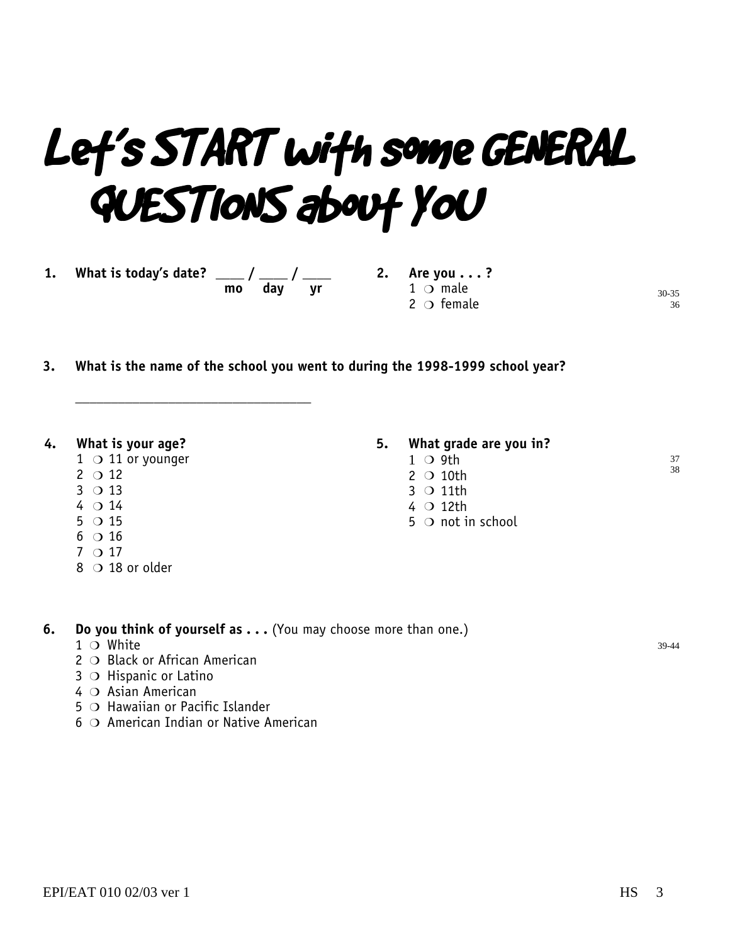## Let's START with some GENERAL QUESTIONS about YOU

**1. What is today's date? \_\_\_\_ / \_\_\_\_ / \_\_\_\_**

 **mo day yr**

**2. Are you . . . ?**  $1$   $\circ$  male  $2^{\circ}$  female

**3. What is the name of the school you went to during the 1998-1999 school year?**

#### **4. What is your age?**

- $1$  O 11 or younger
- $2^{\circ}$  12
- $3$  O 13
- $4014$
- $5^\circ$  0 15
- $6$  O 16
- $7$  O 17
- $8$  O 18 or older

#### **5. What grade are you in?**

- $1$  O 9th
	- $2$  O 10th
	- $3$  O 11th
	- $4$  O 12th
	- $5$   $\circ$  not in school

**6.** Do you think of yourself as . . . (You may choose more than one.)

- $1$  O White
- 2 O Black or African American
- $3$   $\circ$  Hispanic or Latino
- $4$   $\circ$  Asian American
- $5$   $\bigcirc$  Hawaiian or Pacific Islander
- $6$   $\circ$  American Indian or Native American

**\_\_\_\_\_\_\_\_\_\_\_\_\_\_\_\_\_\_\_\_\_\_\_\_\_\_\_\_\_\_\_\_\_**

39-44

30-35 36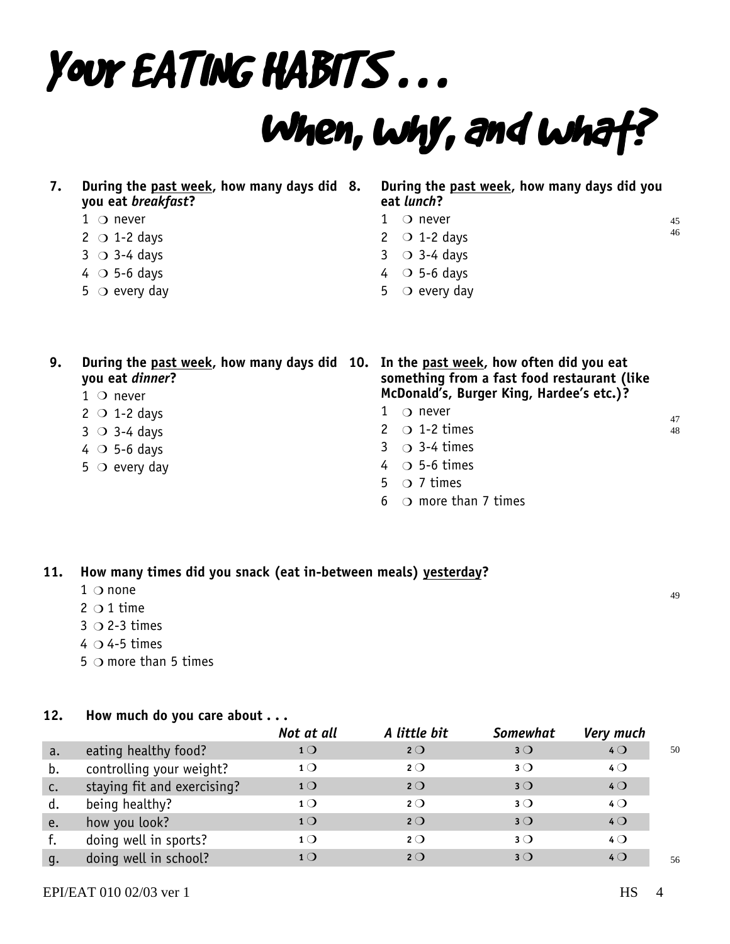# Your EATING HABITS . . .

## When, why, and what?

| During the past week, how many days did 8. |  |
|--------------------------------------------|--|
| you eat <i>breakfast</i> ?                 |  |

#### $1$   $\bigcirc$  never

- $2 \circ 1-2$  days
- $3$   $\circ$  3-4 days
- $4 \circ 5-6$  days
- $5$   $\circ$  every day

#### **8. During the past week, how many days did you eat** *lunch***?**

- $1$  O never
- $2 \circ 1-2$  days
- $3$   $\circ$  3-4 days
- $4$  O 5-6 days
- 5  $\circ$  every day

| 9. | During the past week, how many days did 10. In the past week, how often did you eat<br>you eat dinner? | something from a fast food restaurant (like |
|----|--------------------------------------------------------------------------------------------------------|---------------------------------------------|
|    | $1$ O never                                                                                            | McDonald's, Burger King, Hardee's etc.)?    |
|    | $2 \circ 1-2$ days                                                                                     | $\bigcirc$ never                            |
|    | $3$ O 3-4 days                                                                                         | 2 $\circ$ 1-2 times                         |
|    | $4$ O 5-6 days                                                                                         | $3 \circ 3-4$ times                         |
|    | $5$ O every day                                                                                        | $4 \circ 5-6$ times                         |
|    |                                                                                                        | $5 \circ 7$ times                           |

 $6$   $\bigcirc$  more than 7 times

#### **11. How many times did you snack (eat in-between meals) yesterday?**

- $1$   $\circ$  none
- $2$  O 1 time
- $3$  O 2-3 times
- $4$   $\circ$  4-5 times
- $5$   $\bigcirc$  more than 5 times

#### **12. How much do you care about . . .**

|                |                             | Not at all     | A little bit | <b>Somewhat</b> | <b>Very much</b> |    |
|----------------|-----------------------------|----------------|--------------|-----------------|------------------|----|
| a.             | eating healthy food?        | 1 <sub>O</sub> | $2^{\circ}$  | $3^{\circ}$     | 40               | 50 |
| b.             | controlling your weight?    | 1 <sub>O</sub> | $2^{\circ}$  | $3$ $\bigcirc$  | $4^{\circ}$      |    |
| $\mathsf{C}$ . | staying fit and exercising? | 1 <sub>O</sub> | $2^{\circ}$  | $3^{\circ}$     | $4$ $\bigcirc$   |    |
| d.             | being healthy?              | 1 <sub>O</sub> | $2^{\circ}$  | $3^{\circ}$     | $4^{\circ}$      |    |
| e.             | how you look?               | 1 <sub>O</sub> | $2^{\circ}$  | $3^{\circ}$     | $4$ $\bigcirc$   |    |
|                | doing well in sports?       | 1 <sub>O</sub> | $2^{\circ}$  | $3$ $\bigcirc$  | $4^{\circ}$      |    |
| q.             | doing well in school?       | 1 <sub>O</sub> | $2^{\circ}$  | $3^{\circ}$     | $4$ $\bigcirc$   | 56 |

49

47 48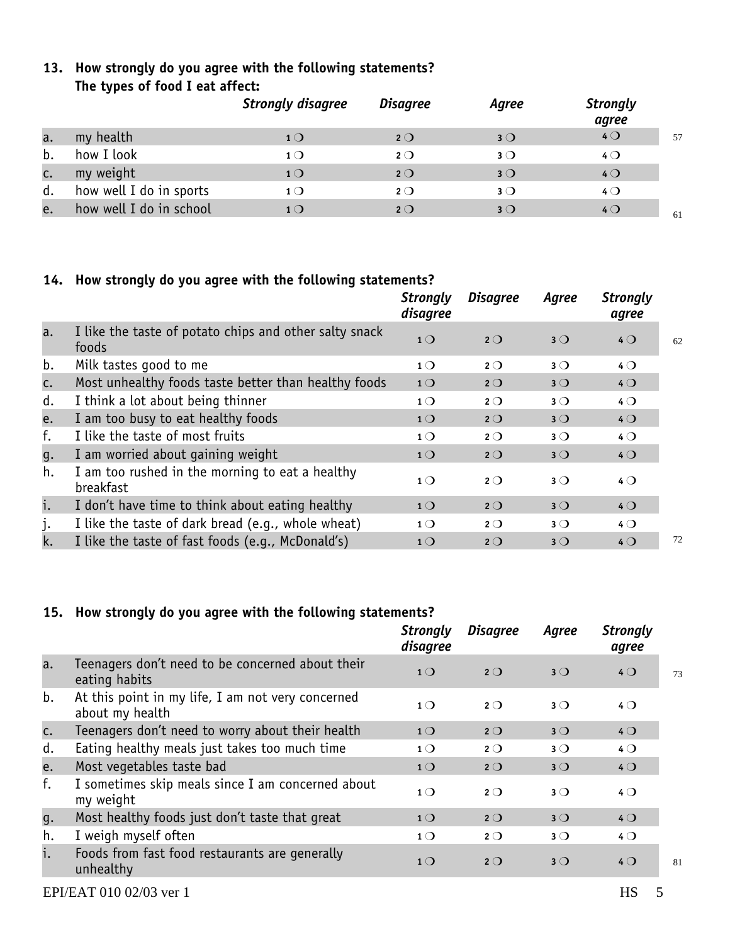#### **13. How strongly do you agree with the following statements? The types of food I eat affect:**

|    |                         | <b>Strongly disagree</b> | <b>Disagree</b> | Agree          | <b>Strongly</b><br>agree |    |
|----|-------------------------|--------------------------|-----------------|----------------|--------------------------|----|
| a. | my health               | 1 <sub>O</sub>           | $2^{\circ}$     | $3^{\circ}$    | 40                       | 57 |
| b. | how I look              | $1^{\circ}$              | $2^{\circ}$     | $3$ $\bigcirc$ | $4$ $\bigcirc$           |    |
| c. | my weight               | 1 <sub>O</sub>           | $2^{\circ}$     | $3^{\circ}$    | $4$ $\bigcirc$           |    |
| d. | how well I do in sports | $\mathbf{1}\bigcirc$     | $2^{\circ}$     | $3^{\circ}$    | $4\circ$                 |    |
| e. | how well I do in school | $1\bigcirc$              | $2^{\circ}$     | $3^{\circ}$    | $4$ $\bigcirc$           | 61 |

#### **14. How strongly do you agree with the following statements?**

|    |                                                                 | <b>Strongly</b><br>disagree | <b>Disagree</b> | Agree       | <b>Strongly</b><br>agree |    |
|----|-----------------------------------------------------------------|-----------------------------|-----------------|-------------|--------------------------|----|
| a. | I like the taste of potato chips and other salty snack<br>foods | 1 <sup>O</sup>              | $2^{\circ}$     | $3^{\circ}$ | $4$ $\bigcirc$           | 62 |
| b. | Milk tastes good to me                                          | 1 <sub>O</sub>              | $2^{\circ}$     | $3^{\circ}$ | $4\circ$                 |    |
| c. | Most unhealthy foods taste better than healthy foods            | 1 <sup>O</sup>              | $2^{\circ}$     | $3^{\circ}$ | $4$ $\bigcirc$           |    |
| d. | I think a lot about being thinner                               | $1^{\circ}$                 | $2^{\circ}$     | $3^{\circ}$ | $4$ $\bigcirc$           |    |
| e. | I am too busy to eat healthy foods                              | 1 <sub>O</sub>              | $2^{\circ}$     | $3^{\circ}$ | $4$ $\bigcirc$           |    |
| f. | I like the taste of most fruits                                 | 1 <sub>O</sub>              | $2^{\circ}$     | $3^{\circ}$ | $4\circ$                 |    |
| g. | I am worried about gaining weight                               | 1 <sub>O</sub>              | $2^{\circ}$     | $3^{\circ}$ | $4\circ$                 |    |
| h. | I am too rushed in the morning to eat a healthy<br>breakfast    | 1 <sub>O</sub>              | $2^{\circ}$     | $3^{\circ}$ | $4\circ$                 |    |
| i. | I don't have time to think about eating healthy                 | 1 <sub>O</sub>              | $2^{\circ}$     | $3^{\circ}$ | $4$ $\bigcirc$           |    |
| j. | I like the taste of dark bread (e.g., whole wheat)              | $1^{\circ}$                 | $2^{\circ}$     | $3^{\circ}$ | $4$ $\bigcirc$           |    |
| k. | I like the taste of fast foods (e.g., McDonald's)               | 1 <sub>O</sub>              | $2^{\circ}$     | $3^{\circ}$ | $4$ $\bigcirc$           | 72 |
|    |                                                                 |                             |                 |             |                          |    |

#### **15. How strongly do you agree with the following statements?**

|    |                                                                      | <b>Strongly</b><br>disagree | <b>Disagree</b> | Agree       | <b>Strongly</b><br>agree |    |
|----|----------------------------------------------------------------------|-----------------------------|-----------------|-------------|--------------------------|----|
| a. | Teenagers don't need to be concerned about their<br>eating habits    | 1 <sub>O</sub>              | $2^{\circ}$     | $3^{\circ}$ | $4$ $\bigcirc$           | 73 |
| b. | At this point in my life, I am not very concerned<br>about my health | $1\Omega$                   | $2^{\circ}$     | $3^{\circ}$ | $4\circ$                 |    |
| c. | Teenagers don't need to worry about their health                     | 1 <sub>O</sub>              | $2^{\circ}$     | $3^{\circ}$ | $4$ $\bigcirc$           |    |
| d. | Eating healthy meals just takes too much time                        | 1 <sub>O</sub>              | $2^{\circ}$     | $3^{\circ}$ | $4\circ$                 |    |
| e. | Most vegetables taste bad                                            | 1 <sub>O</sub>              | $2^{\circ}$     | $3^{\circ}$ | $4$ $\bigcirc$           |    |
| f. | I sometimes skip meals since I am concerned about<br>my weight       | 1 <sub>O</sub>              | $2^{\circ}$     | $3^{\circ}$ | $4\circ$                 |    |
| g. | Most healthy foods just don't taste that great                       | 1 <sub>O</sub>              | $2^{\circ}$     | $3^{\circ}$ | $4$ $\bigcirc$           |    |
| h. | I weigh myself often                                                 | 1 <sub>O</sub>              | $2^{\circ}$     | $3^{\circ}$ | $4$ $\bigcirc$           |    |
| i. | Foods from fast food restaurants are generally<br>unhealthy          | 1 <sub>O</sub>              | $2^{\circ}$     | $3^{\circ}$ | $4$ $\bigcirc$           | 81 |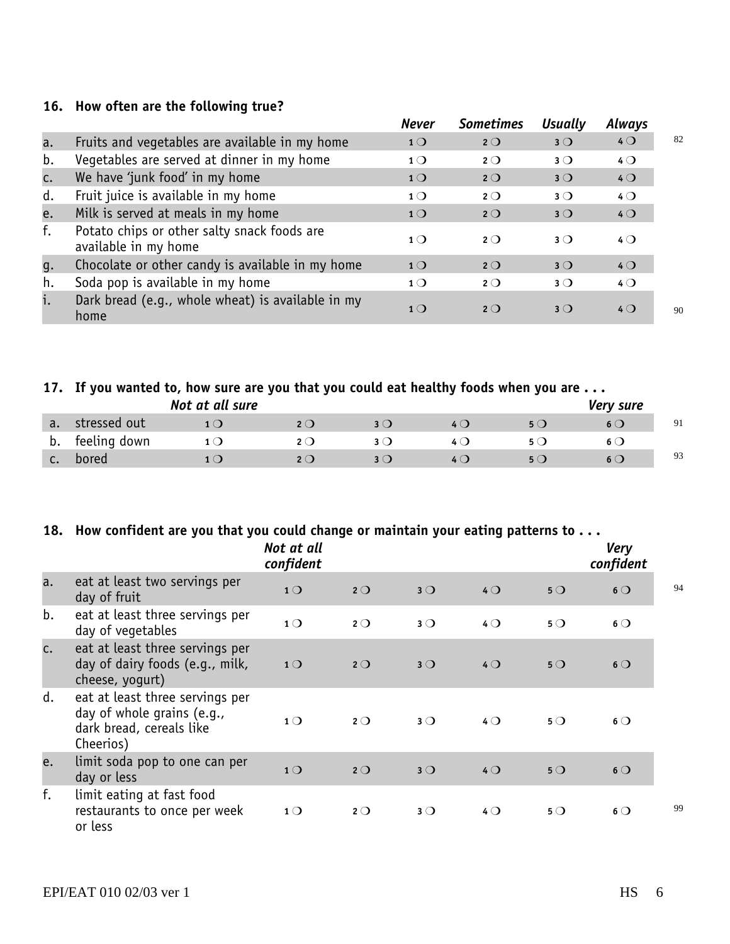#### **16. How often are the following true?**

|    |                                                                     | <b>Never</b>   | <b>Sometimes</b> | <b>Usually</b> | Always         |    |
|----|---------------------------------------------------------------------|----------------|------------------|----------------|----------------|----|
| a. | Fruits and vegetables are available in my home                      | 1 <sub>O</sub> | $2^{\circ}$      | $3^{\circ}$    | $4$ $\bigcirc$ | 82 |
| b. | Vegetables are served at dinner in my home                          | 1 <sub>O</sub> | $2^{\circ}$      | $3^{\circ}$    | $4\circ$       |    |
| c. | We have 'junk food' in my home                                      | 1 <sub>O</sub> | $2^{\circ}$      | $3$ $\bigcirc$ | $4$ $\bigcirc$ |    |
| d. | Fruit juice is available in my home                                 | 1 <sub>O</sub> | $2^{\circ}$      | $3^{\circ}$    | $4$ $\bigcirc$ |    |
| e. | Milk is served at meals in my home                                  | 1 <sub>O</sub> | $2^{\circ}$      | $3^{\circ}$    | 40             |    |
| f. | Potato chips or other salty snack foods are<br>available in my home | 1 <sub>O</sub> | $2^{\circ}$      | $3$ $\bigcirc$ | $4\circ$       |    |
| g. | Chocolate or other candy is available in my home                    | 1 <sub>O</sub> | $2^{\circ}$      | $3^{\circ}$    | $4$ $\bigcirc$ |    |
| h. | Soda pop is available in my home                                    | $1^{\circ}$    | $2^{\circ}$      | $3^{\circ}$    | $4$ $\bigcirc$ |    |
| i. | Dark bread (e.g., whole wheat) is available in my<br>home           | 1 <sub>O</sub> | $2^{\circ}$      | $3$ $\bigcirc$ | $4$ $\bigcirc$ | 90 |

#### **17. If you wanted to, how sure are you that you could eat healthy foods when you are . . .**

|    |              | Not at all sure |              |              |     |       | Very sure    |    |
|----|--------------|-----------------|--------------|--------------|-----|-------|--------------|----|
| a. | stressed out |                 | 2 $\bigcirc$ | 3 ( <b>)</b> | 4 Q | 5()   | 6 (J         | 91 |
| D. | feeling down | $1 \cup$        | 2 (J         |              | 4 O | 50    | $\mathbf{b}$ |    |
| J. | bored        |                 | 2O           |              | 4 Q | 5 ( ) | $6$ (        | 93 |

#### **18. How confident are you that you could change or maintain your eating patterns to . . .**

|    |                                                                                                        | Not at all<br>confident |             |             |                |             | <b>Very</b><br>confident |    |
|----|--------------------------------------------------------------------------------------------------------|-------------------------|-------------|-------------|----------------|-------------|--------------------------|----|
| a. | eat at least two servings per<br>day of fruit                                                          | 1 <sub>O</sub>          | $2^{\circ}$ | $3^{\circ}$ | $4$ $\bigcirc$ | $5^{\circ}$ | $6^{\circ}$              | 94 |
| b. | eat at least three servings per<br>day of vegetables                                                   | 1 <sub>O</sub>          | $2^{\circ}$ | $3^{\circ}$ | $4\circ$       | $5^{\circ}$ | $6^{\circ}$              |    |
| c. | eat at least three servings per<br>day of dairy foods (e.g., milk,<br>cheese, yogurt)                  | 1 <sup>O</sup>          | $2^{\circ}$ | $3^{\circ}$ | $4$ $\bigcirc$ | $5^{\circ}$ | $6\circ$                 |    |
| d. | eat at least three servings per<br>day of whole grains (e.g.,<br>dark bread, cereals like<br>Cheerios) | 1 <sub>O</sub>          | $2^{\circ}$ | $3^{\circ}$ | $4\circ$       | $5^{\circ}$ | $6\circ$                 |    |
| e. | limit soda pop to one can per<br>day or less                                                           | 1 <sup>O</sup>          | $2^{\circ}$ | $3^{\circ}$ | 40             | $5^{\circ}$ | $6^{\circ}$              |    |
| f. | limit eating at fast food<br>restaurants to once per week<br>or less                                   | $1^{\circ}$             | $2^{\circ}$ | $3^{\circ}$ | $4\circ$       | $5^{\circ}$ | $6\circ$                 | 99 |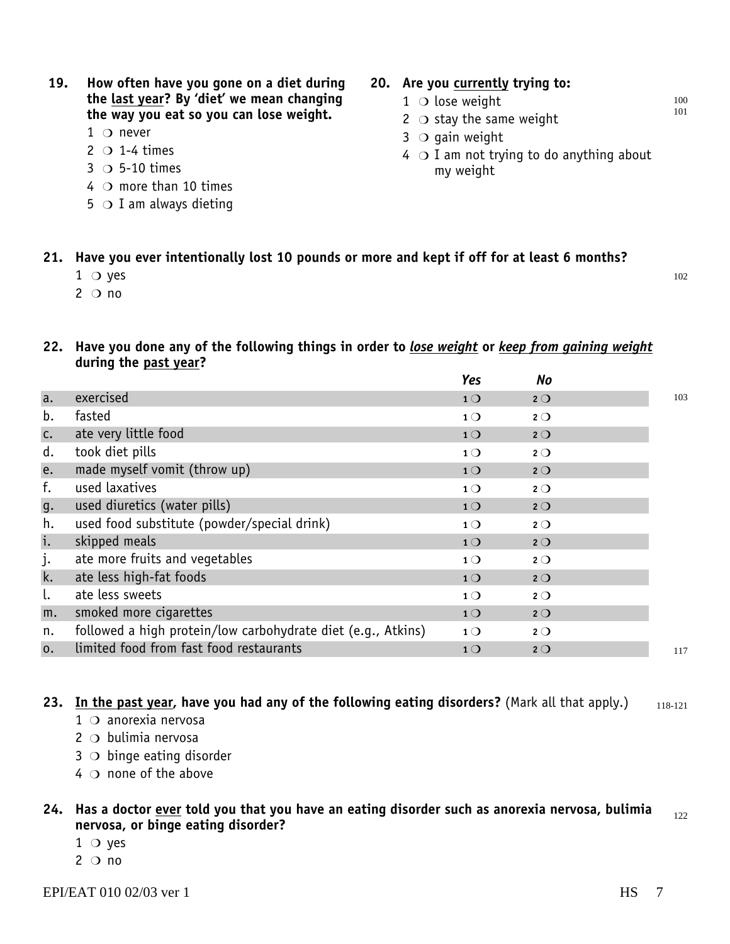#### **19. How often have you gone on a diet during the last year? By 'diet' we mean changing the way you eat so you can lose weight.**

- $1$   $\bigcirc$  never
- $2 \circ 1-4$  times
- $3$  O 5-10 times
- $4$   $\circ$  more than 10 times
- $5$   $\bigcirc$  I am always dieting

#### **20. Are you currently trying to:**

- $1$  O lose weight
- $2$   $\circ$  stay the same weight
- $3$   $\circ$  gain weight
- $4$   $\circ$  I am not trying to do anything about my weight

100 101

102

#### **21. Have you ever intentionally lost 10 pounds or more and kept if off for at least 6 months?**

- $1$  O yes
- $2^{\circ}$  no

#### **22. Have you done any of the following things in order to** *lose weight* **or** *keep from gaining weight* **during the past year?**

|                |                                                              | Yes            | No          |     |
|----------------|--------------------------------------------------------------|----------------|-------------|-----|
| a.             | exercised                                                    | 1 <sup>O</sup> | $2^{\circ}$ | 103 |
| b.             | fasted                                                       | $1^{\circ}$    | $2^{\circ}$ |     |
| C.             | ate very little food                                         | 1 <sub>O</sub> | $2^{\circ}$ |     |
| d.             | took diet pills                                              | 1 <sub>O</sub> | $2^{\circ}$ |     |
| e.             | made myself vomit (throw up)                                 | 1 <sup>O</sup> | 2O          |     |
| f.             | used laxatives                                               | $1^{\circ}$    | $2^{\circ}$ |     |
| g.             | used diuretics (water pills)                                 | 1 <sup>O</sup> | $2^{\circ}$ |     |
| h.             | used food substitute (powder/special drink)                  | $1^{\circ}$    | $2^{\circ}$ |     |
| i.             | skipped meals                                                | 1 <sub>O</sub> | $2^{\circ}$ |     |
| j.             | ate more fruits and vegetables                               | $1^{\circ}$    | $2^{\circ}$ |     |
| k.             | ate less high-fat foods                                      | 1 <sup>O</sup> | $2^{\circ}$ |     |
|                | ate less sweets                                              | 1 <sub>O</sub> | $2^{\circ}$ |     |
| m.             | smoked more cigarettes                                       | 1 <sub>O</sub> | 2O          |     |
| n.             | followed a high protein/low carbohydrate diet (e.g., Atkins) | 1 <sub>O</sub> | $2^{\circ}$ |     |
| $\mathbf{0}$ . | limited food from fast food restaurants                      | 1 <sub>O</sub> | $2^{\circ}$ | 117 |
|                |                                                              |                |             |     |

**23. In the past year, have you had any of the following eating disorders?** (Mark all that apply.) 118-121

- $1$   $\circ$  anorexia nervosa
- $2$   $\circ$  bulimia nervosa
- $3$   $\circ$  binge eating disorder
- $4\circ$  none of the above

#### **24. Has a doctor ever told you that you have an eating disorder such as anorexia nervosa, bulimia nervosa, or binge eating disorder?** 122

- $1$  O yes
- $2^{\circ}$  no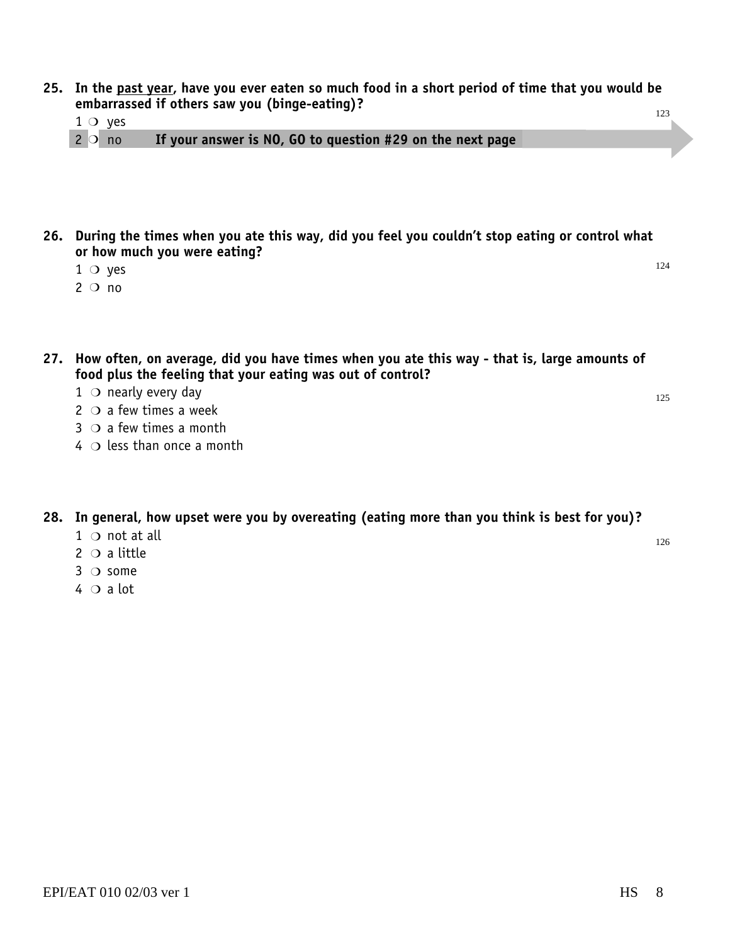- **25. In the past year, have you ever eaten so much food in a short period of time that you would be embarrassed if others saw you (binge-eating)?** 123
	- $1 \circ$  yes
	- If your answer is NO, GO to question #29 on the next page  $2^{\circ}$  no
- **26. During the times when you ate this way, did you feel you couldn't stop eating or control what or how much you were eating?**
	- $1$  O yes
	- $2^{\circ}$  no
- **27. How often, on average, did you have times when you ate this way that is, large amounts of food plus the feeling that your eating was out of control?**
	- $1$   $\circ$  nearly every day
	- $2$   $\circ$  a few times a week
	- $3$   $\bigcirc$  a few times a month
	- $4 \circ$  less than once a month

#### **28. In general, how upset were you by overeating (eating more than you think is best for you)?**

- $1 \circ$  not at all
- 2  $\circ$  a little
- $3$   $\circ$  some
- $4 \circ a$  lot

125

126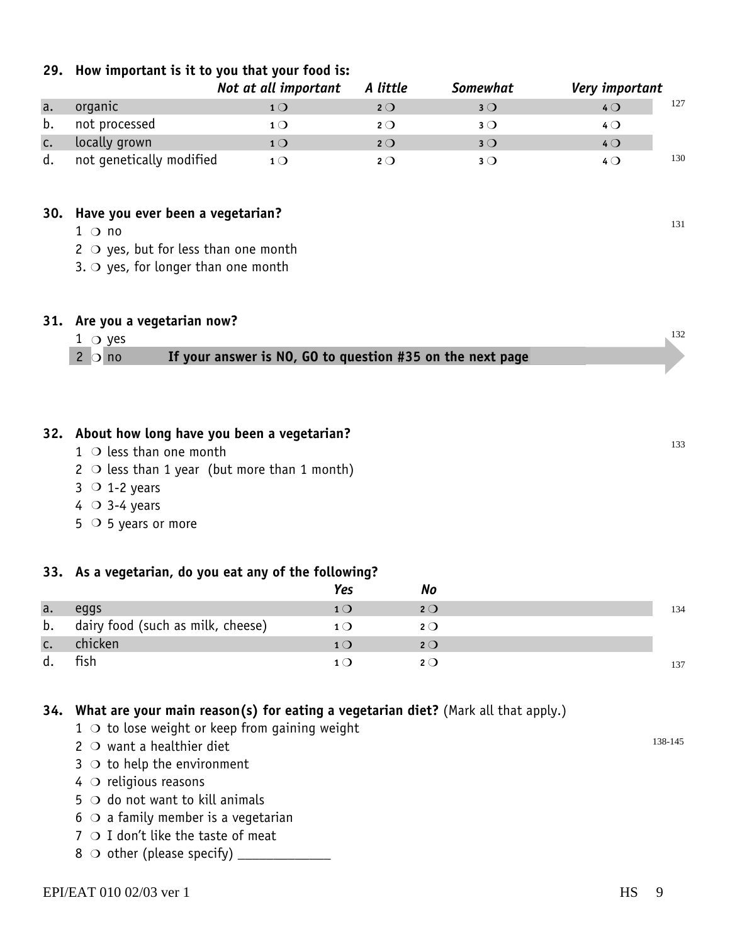| organic                                               | 1 <sub>O</sub>                                             | $2^{\circ}$                                                                                                                        | 3O                                             | $4$ $\bigcirc$                                            | 127 |  |  |
|-------------------------------------------------------|------------------------------------------------------------|------------------------------------------------------------------------------------------------------------------------------------|------------------------------------------------|-----------------------------------------------------------|-----|--|--|
| not processed                                         | 1 <sub>O</sub>                                             | $2^{\circ}$                                                                                                                        | $3^{\circ}$                                    | 40                                                        |     |  |  |
| locally grown                                         | 10                                                         | $2^{\circ}$                                                                                                                        | $3^{\circ}$                                    | 40                                                        |     |  |  |
| not genetically modified                              | 1 <sub>O</sub>                                             | $2^{\circ}$                                                                                                                        | $3^{\circ}$                                    | 40                                                        | 130 |  |  |
|                                                       |                                                            |                                                                                                                                    |                                                |                                                           |     |  |  |
|                                                       |                                                            |                                                                                                                                    |                                                |                                                           |     |  |  |
| $1$ $\circ$ no                                        |                                                            |                                                                                                                                    |                                                |                                                           | 131 |  |  |
|                                                       |                                                            |                                                                                                                                    |                                                |                                                           |     |  |  |
|                                                       |                                                            |                                                                                                                                    |                                                |                                                           |     |  |  |
|                                                       |                                                            |                                                                                                                                    |                                                |                                                           |     |  |  |
|                                                       |                                                            |                                                                                                                                    |                                                |                                                           |     |  |  |
|                                                       |                                                            |                                                                                                                                    |                                                |                                                           | 132 |  |  |
|                                                       |                                                            |                                                                                                                                    |                                                |                                                           |     |  |  |
|                                                       |                                                            |                                                                                                                                    |                                                |                                                           |     |  |  |
|                                                       |                                                            |                                                                                                                                    |                                                |                                                           |     |  |  |
|                                                       |                                                            |                                                                                                                                    |                                                |                                                           |     |  |  |
|                                                       |                                                            |                                                                                                                                    |                                                |                                                           |     |  |  |
|                                                       |                                                            |                                                                                                                                    |                                                |                                                           |     |  |  |
| $1$ $\circ$ less than one month                       |                                                            |                                                                                                                                    |                                                |                                                           |     |  |  |
|                                                       |                                                            |                                                                                                                                    |                                                |                                                           | 133 |  |  |
| 2 $\circ$ less than 1 year (but more than 1 month)    |                                                            |                                                                                                                                    |                                                |                                                           |     |  |  |
| $3$ O 1-2 years                                       |                                                            |                                                                                                                                    |                                                |                                                           |     |  |  |
| 4 $\circ$ 3-4 years<br>$5$ O 5 years or more          |                                                            |                                                                                                                                    |                                                |                                                           |     |  |  |
|                                                       |                                                            |                                                                                                                                    |                                                |                                                           |     |  |  |
|                                                       |                                                            |                                                                                                                                    |                                                |                                                           |     |  |  |
| 33. As a vegetarian, do you eat any of the following? |                                                            |                                                                                                                                    |                                                |                                                           |     |  |  |
|                                                       |                                                            | <b>Yes</b><br><b>No</b>                                                                                                            |                                                |                                                           |     |  |  |
| eggs<br>dairy food (such as milk, cheese)             |                                                            | 1 <sub>O</sub><br>$2^{\circ}$<br>$1^{\circ}$<br>$2^{\circ}$                                                                        |                                                |                                                           | 134 |  |  |
|                                                       | 31. Are you a vegetarian now?<br>$1 \circ$ yes<br>$2$ O no | 30. Have you ever been a vegetarian?<br>2 $\circ$ yes, but for less than one month<br>3. $\bigcirc$ yes, for longer than one month | 32. About how long have you been a vegetarian? | If your answer is NO, GO to question #35 on the next page |     |  |  |

*Not at all important A little Somewhat Very important*

#### **29. How important is it to you that your food is:**

**34. What are your main reason(s) for eating a vegetarian diet?** (Mark all that apply.)

 $1$   $\circ$  to lose weight or keep from gaining weight

d. fish **<sup>1</sup>**m **<sup>2</sup>**m

- $2$   $\circ$  want a healthier diet
- $3$   $\circ$  to help the environment
- $4$   $\circ$  religious reasons
- $5$   $\circ$  do not want to kill animals
- $6$   $\circ$  a family member is a vegetarian
- $7 \circ I$  don't like the taste of meat
- 8 other (please specify) \_\_\_\_\_\_\_\_\_\_\_\_\_ m

137

138-145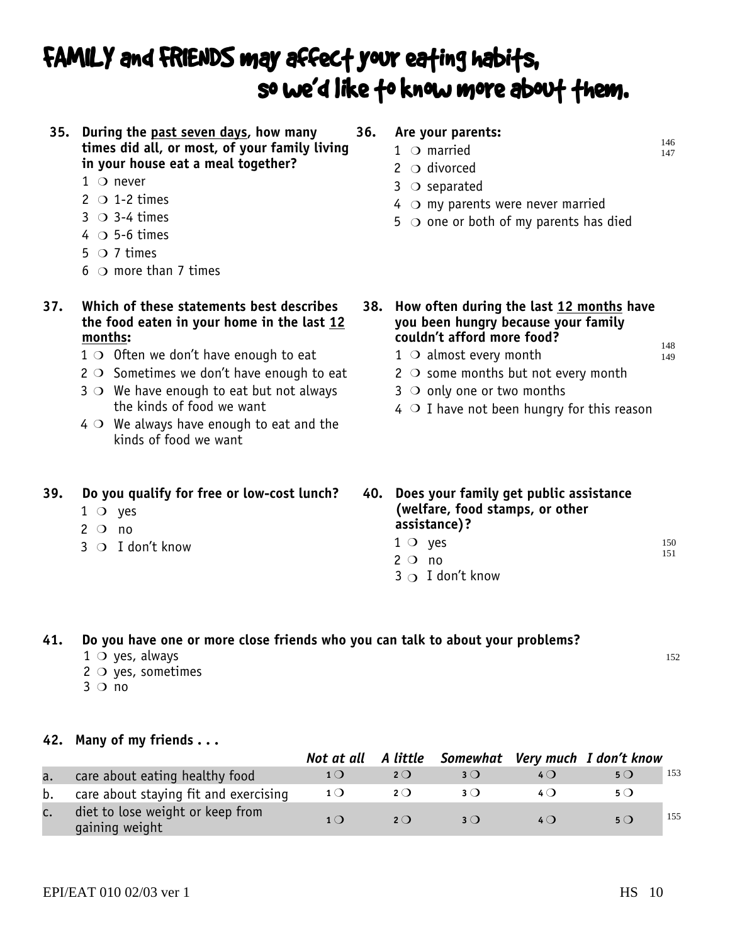## FAMILY and FRIENDS may affect your eating habits, so we'd like to know more about them.

**35. During the past seven days, how many times did all, or most, of your family living in your house eat a meal together?**

- $1$  O never
- $2 \circ 1-2$  times
- $3$   $\circ$  3-4 times
- $4 \circ$  5-6 times
- $5 \circ 7$  times
- $6$   $\circ$  more than 7 times
- **37. Which of these statements best describes the food eaten in your home in the last 12 months:**
	- $1$  O Often we don't have enough to eat
	- $2$   $\circ$  Sometimes we don't have enough to eat
	- $3$   $\circ$  We have enough to eat but not always the kinds of food we want
	- $4$   $\circ$  We always have enough to eat and the kinds of food we want

#### **39. Do you qualify for free or low-cost lunch?**

- $1$  O yes
- $2^{\circ}$  no
- $3$  O I don't know  $1$  O
- **36. Are your parents:**
	- $1$  O married
		- $2^{\circ}$  divorced
		- $3$   $\circ$  separated
		- $4\circ$  my parents were never married
		- $5$   $\bigcirc$  one or both of my parents has died
- **38. How often during the last 12 months have you been hungry because your family couldn't afford more food?**
	- $1$   $\circ$  almost every month
	- $2$   $\circ$  some months but not every month
	- $3$   $\circ$  only one or two months
	- $4$   $\circ$  I have not been hungry for this reason
- **40. Does your family get public assistance (welfare, food stamps, or other assistance)?**
	- $1^\circ$  yes 150 151
	- $2^{\circ}$  no
	- $3\supset I$  don't know

#### **41. Do you have one or more close friends who you can talk to about your problems?**

- $1 \circ$  yes, always
- $2 \circ$  yes, sometimes
- $3$  O no

**42. Many of my friends . . .**

|                |                                                    |                |             |            |     | Not at all A little Somewhat Very much I don't know |     |
|----------------|----------------------------------------------------|----------------|-------------|------------|-----|-----------------------------------------------------|-----|
| a.             | care about eating healthy food                     |                | $2^{\circ}$ |            |     | $5^{\circ}$                                         | 153 |
|                | b. care about staying fit and exercising           | 1 <sub>O</sub> | 2O          |            |     | 5 ( )                                               |     |
| $\mathsf{C}$ . | diet to lose weight or keep from<br>gaining weight | 1()            | $2^{\circ}$ | $3\bigcap$ | 4() | $5^{\circ}$                                         | 155 |

152

148 149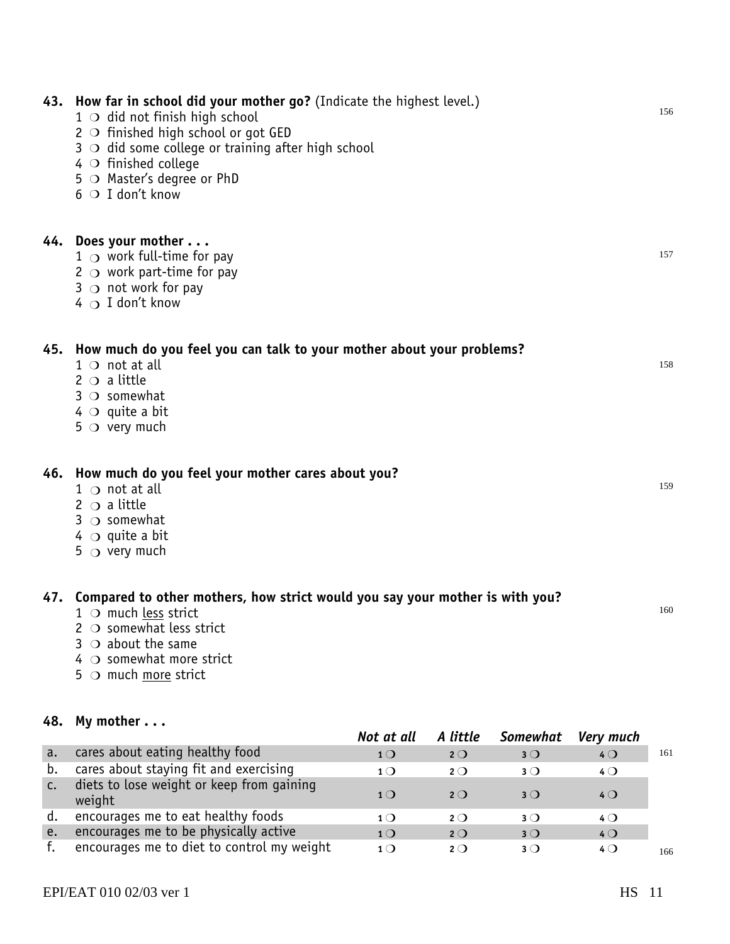| 43. How far in school did your mother go? (Indicate the highest level.)<br>$1$ $\circ$ did not finish high school<br>2 $\circ$ finished high school or got GED<br>$3$ $\circ$ did some college or training after high school<br>$4$ $\circ$ finished college<br>5 O Master's degree or PhD<br>$6$ O I don't know | 156 |
|------------------------------------------------------------------------------------------------------------------------------------------------------------------------------------------------------------------------------------------------------------------------------------------------------------------|-----|
| 44. Does your mother<br>$1$ $\circ$ work full-time for pay<br>2 $\circ$ work part-time for pay<br>3 $\circ$ not work for pay<br>$4 \bigcirc I$ don't know                                                                                                                                                        | 157 |
| 45. How much do you feel you can talk to your mother about your problems?<br>$1 \circ not$ at all<br>$2 \circ a$ little<br>$3 \circ$ somewhat<br>$4$ $\circ$ quite a bit<br>$5$ O very much                                                                                                                      | 158 |
| 46. How much do you feel your mother cares about you?<br>1 $\cap$ not at all<br>$2 \circ a$ little<br>$3 \circ$ somewhat<br>$4\circ$ quite a bit<br>$5$ $\circ$ very much                                                                                                                                        | 159 |
| 47. Compared to other mothers, how strict would you say your mother is with you?<br>$1$ $\circ$ much less strict<br>2 $\circ$ somewhat less strict<br>$3$ $\circ$ about the same<br>$4$ $\circ$ somewhat more strict<br>$5$ $\circ$ much more strict                                                             | 160 |

#### **48. My mother . . .**

|                |                                                     | Not at all     | A little       | Somewhat       | Very much      |     |
|----------------|-----------------------------------------------------|----------------|----------------|----------------|----------------|-----|
| a.             | cares about eating healthy food                     | 1 <sub>O</sub> | $2^{\circ}$    | $3$ $\bigcirc$ | $4$ $\bigcirc$ | 161 |
| b.             | cares about staying fit and exercising              | $1$ $\bigcirc$ | $2$ $\bigcirc$ | $3$ $\bigcirc$ | $4\circ$       |     |
| $\mathsf{C}$ . | diets to lose weight or keep from gaining<br>weight | $1$ $\bigcirc$ | $2\Omega$      | $3$ $\bigcirc$ | $4$ $\bigcirc$ |     |
| d.             | encourages me to eat healthy foods                  | $1$ $\bigcirc$ | $2^{\circ}$    | $3$ $\bigcirc$ | 4 Q            |     |
| e.             | encourages me to be physically active               | $1\bigcirc$    | $2^{\circ}$    | $3$ $\bigcirc$ | $4$ $\bigcirc$ |     |
|                | encourages me to diet to control my weight          | $1\bigcirc$    | $2\bigcap$     | $3$ $\bigcirc$ | $4$ $\bigcirc$ | 166 |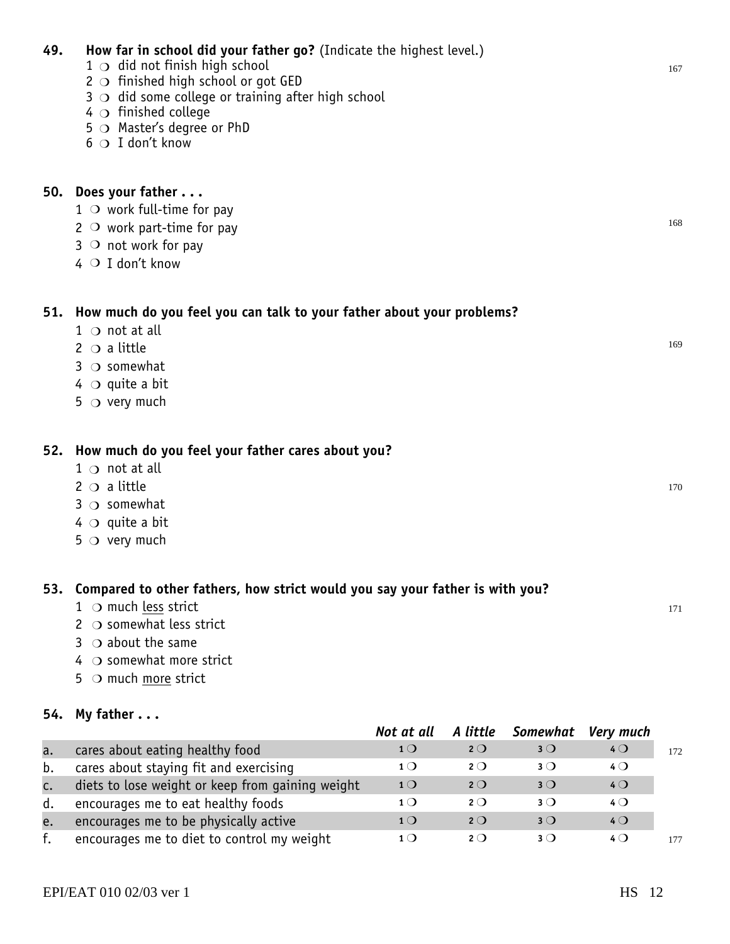|    | $1$ O work full-time for pay                                                     |                |             |             |                  |     |
|----|----------------------------------------------------------------------------------|----------------|-------------|-------------|------------------|-----|
|    | 2 $\circ$ work part-time for pay                                                 |                |             |             |                  | 168 |
|    | $3$ O not work for pay                                                           |                |             |             |                  |     |
|    | $4$ O I don't know                                                               |                |             |             |                  |     |
|    |                                                                                  |                |             |             |                  |     |
|    | 51. How much do you feel you can talk to your father about your problems?        |                |             |             |                  |     |
|    | $1 \circ$ not at all                                                             |                |             |             |                  |     |
|    | 2 $\circ$ a little                                                               |                |             |             |                  | 169 |
|    | $3 \circ$ somewhat                                                               |                |             |             |                  |     |
|    |                                                                                  |                |             |             |                  |     |
|    | $4\circ$ quite a bit                                                             |                |             |             |                  |     |
|    | $5$ $\circ$ very much                                                            |                |             |             |                  |     |
|    |                                                                                  |                |             |             |                  |     |
|    | 52. How much do you feel your father cares about you?                            |                |             |             |                  |     |
|    | $1 \circ$ not at all                                                             |                |             |             |                  |     |
|    | $2 \circ a$ little                                                               |                |             |             |                  | 170 |
|    | $3$ $\circ$ somewhat                                                             |                |             |             |                  |     |
|    | $4^\circ$ quite a bit                                                            |                |             |             |                  |     |
|    | $5$ $\circ$ very much                                                            |                |             |             |                  |     |
|    |                                                                                  |                |             |             |                  |     |
|    | 53. Compared to other fathers, how strict would you say your father is with you? |                |             |             |                  |     |
|    | $1$ $\circ$ much less strict                                                     |                |             |             |                  | 171 |
|    | 2 $\circ$ somewhat less strict                                                   |                |             |             |                  |     |
|    | $3$ $\circ$ about the same                                                       |                |             |             |                  |     |
|    | $4$ $\circ$ somewhat more strict                                                 |                |             |             |                  |     |
|    | 5 $\circ$ much more strict                                                       |                |             |             |                  |     |
|    |                                                                                  |                |             |             |                  |     |
|    | 54. My father $\ldots$                                                           | Not at all     | A little    | Somewhat    | <b>Very much</b> |     |
| a. | cares about eating healthy food                                                  | 1 <sub>O</sub> | $2^{\circ}$ | $3^{\circ}$ | 40               | 172 |
| b. | cares about staying fit and exercising                                           | 1 <sub>O</sub> | $2^{\circ}$ | $3^{\circ}$ | 40               |     |
| c. | diets to lose weight or keep from gaining weight                                 | 1 <sub>O</sub> | $2^{\circ}$ | $3^{\circ}$ | 40               |     |
| d. | encourages me to eat healthy foods                                               | 1 <sub>O</sub> | $2^{\circ}$ | $3^{\circ}$ | $4^{\circ}$      |     |
|    |                                                                                  |                |             |             |                  |     |
|    |                                                                                  |                |             |             |                  |     |
| e. | encourages me to be physically active                                            | 1 <sub>O</sub> | $2^{\circ}$ | $3^{\circ}$ | 40               |     |
| f. | encourages me to diet to control my weight                                       | $1^{\circ}$    | $2^{\circ}$ | $3^{\circ}$ | $4^{\circ}$      | 177 |

3  $\bigcirc$  did some college or training after high school

2  $\circ$  finished high school or got GED

 $4$   $\circ$  finished college

6  $\circ$  I don't know

**50. Does your father . . .**

 $\overline{O}$  $\overline{O}$  $\overline{O}$  $\overline{O}$  $\overline{O}$ 

5  $\bigcirc$  Master's degree or PhD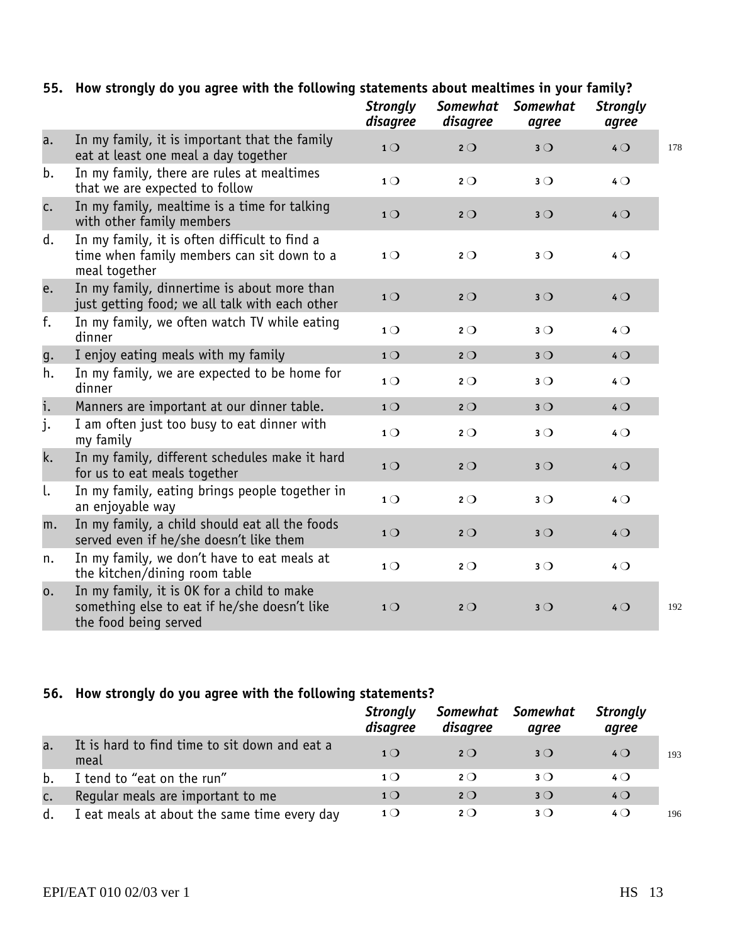#### **55. How strongly do you agree with the following statements about mealtimes in your family?**

|    |                                                                                                                     | <b>Strongly</b><br>disagree | <b>Somewhat</b><br>disagree | <b>Somewhat</b><br>agree | <b>Strongly</b><br>agree |     |
|----|---------------------------------------------------------------------------------------------------------------------|-----------------------------|-----------------------------|--------------------------|--------------------------|-----|
| a. | In my family, it is important that the family<br>eat at least one meal a day together                               | 1 <sub>O</sub>              | 20                          | $3^{\circ}$              | 40                       | 178 |
| b. | In my family, there are rules at mealtimes<br>that we are expected to follow                                        | 1 <sub>O</sub>              | $2^{\circ}$                 | $3^{\circ}$              | 40                       |     |
| c. | In my family, mealtime is a time for talking<br>with other family members                                           | 1 <sub>O</sub>              | $2^{\circ}$                 | $3^{\circ}$              | 40                       |     |
| d. | In my family, it is often difficult to find a<br>time when family members can sit down to a<br>meal together        | 1 <sub>O</sub>              | $2^{\circ}$                 | $3^{\circ}$              | 40                       |     |
| e. | In my family, dinnertime is about more than<br>just getting food; we all talk with each other                       | 1 <sub>O</sub>              | 20                          | $3^{\circ}$              | 40                       |     |
| f. | In my family, we often watch TV while eating<br>dinner                                                              | 1 <sub>O</sub>              | $2^{\circ}$                 | $3^{\circ}$              | 40                       |     |
| g. | I enjoy eating meals with my family                                                                                 | 1 <sub>O</sub>              | $2^{\circ}$                 | $3^{\circ}$              | 40                       |     |
| h. | In my family, we are expected to be home for<br>dinner                                                              | $1^{\circ}$                 | $2^{\circ}$                 | $3^{\circ}$              | 40                       |     |
| i. | Manners are important at our dinner table.                                                                          | 1 <sub>O</sub>              | $2^{\circ}$                 | $3^{\circ}$              | 40                       |     |
| j. | I am often just too busy to eat dinner with<br>my family                                                            | 1 <sub>O</sub>              | $2^{\circ}$                 | $3^{\circ}$              | 40                       |     |
| k. | In my family, different schedules make it hard<br>for us to eat meals together                                      | 1 <sub>O</sub>              | $2^{\circ}$                 | $3^{\circ}$              | 40                       |     |
| l. | In my family, eating brings people together in<br>an enjoyable way                                                  | 1 <sub>O</sub>              | $2^{\circ}$                 | $3^{\circ}$              | 40                       |     |
| m. | In my family, a child should eat all the foods<br>served even if he/she doesn't like them                           | 1 <sub>O</sub>              | $2^{\circ}$                 | $3^{\circ}$              | 40                       |     |
| n. | In my family, we don't have to eat meals at<br>the kitchen/dining room table                                        | 1 <sub>O</sub>              | $2^{\circ}$                 | $3^{\circ}$              | 40                       |     |
| 0. | In my family, it is OK for a child to make<br>something else to eat if he/she doesn't like<br>the food being served | 1 <sub>O</sub>              | $2^{\circ}$                 | $3^{\circ}$              | 40                       | 192 |

#### **56. How strongly do you agree with the following statements?**

|    |                                                       | <b>Strongly</b><br>disagree | disagree    | Somewhat Somewhat<br>agree | <b>Strongly</b><br>agree |     |
|----|-------------------------------------------------------|-----------------------------|-------------|----------------------------|--------------------------|-----|
| a. | It is hard to find time to sit down and eat a<br>meal | $1\Omega$                   | $2^{\circ}$ | $3$ $\bigcirc$             | $4$ $\bigcirc$           | 193 |
| b. | I tend to "eat on the run"                            | 1 <sub>O</sub>              | $2^{\circ}$ | $3$ $\bigcirc$             | $4\circ$                 |     |
| C. | Regular meals are important to me                     | 1 <sub>O</sub>              | $2^{\circ}$ | $3$ $\bigcirc$             | $4$ $\bigcirc$           |     |
| d. | I eat meals at about the same time every day          | $1$ $\bigcirc$              | $2^{\circ}$ | $3$ $\bigcirc$             | $4$ $\bigcirc$           | 196 |

EPI/EAT 010 02/03 ver 1 HS 13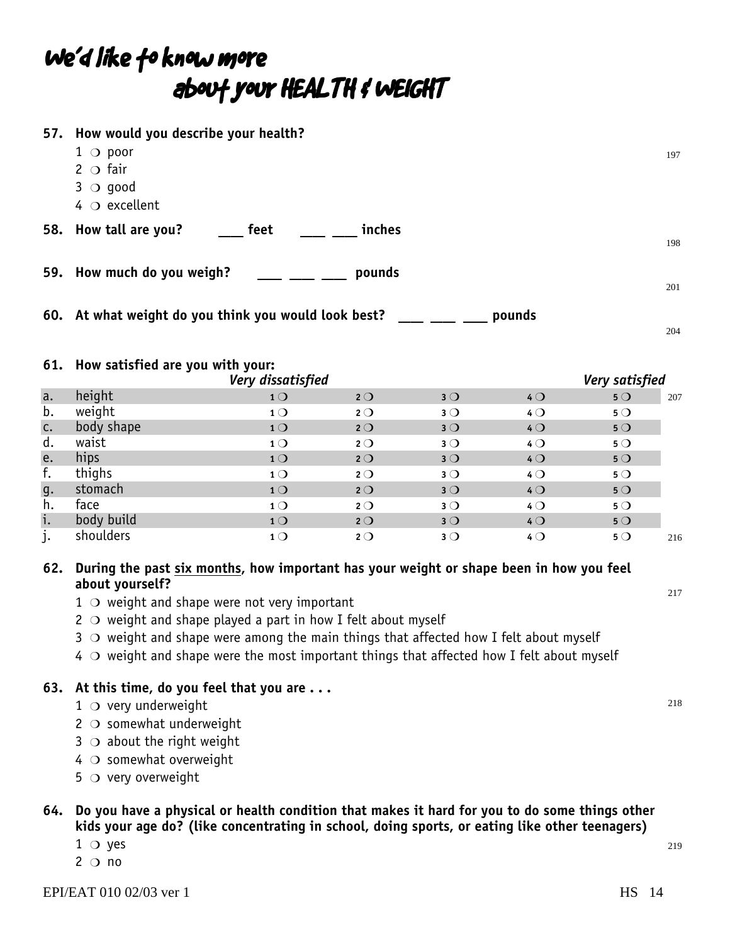## We'd like fo know more about your HEALTH & WEIGHT

|          | 57. How would you describe your health?<br>$1$ $\circ$ poor<br>$2^\circ$ fair<br>$3$ $\circ$ good<br>$4$ $\circ$ excellent |                                  |                            |                               |                   |                   | 197 |  |
|----------|----------------------------------------------------------------------------------------------------------------------------|----------------------------------|----------------------------|-------------------------------|-------------------|-------------------|-----|--|
| 58.      | How tall are you?                                                                                                          | feet                             | inches                     |                               |                   |                   | 198 |  |
|          | 59. How much do you weigh?                                                                                                 |                                  | pounds                     |                               |                   |                   | 201 |  |
|          | 60. At what weight do you think you would look best?<br>pounds<br>204                                                      |                                  |                            |                               |                   |                   |     |  |
|          | 61. How satisfied are you with your:                                                                                       | Very dissatisfied                |                            |                               |                   | Very satisfied    |     |  |
| a.       | height                                                                                                                     | 10                               | $2^{\circ}$                | 3 <sub>O</sub>                | $4$ $\bigcirc$    | $5^{\circ}$       | 207 |  |
| b.       | weight                                                                                                                     | 1 <sub>O</sub>                   | $2^{\circ}$                | $3^{\circ}$                   | 40                | $5^{\circ}$       |     |  |
| c.       | body shape                                                                                                                 | 1 <sub>O</sub>                   | $2^{\circ}$                | 3 <sub>O</sub>                | 40                | 5O                |     |  |
| d.       | waist                                                                                                                      | 1 <sub>O</sub>                   | $2^{\circ}$                | $3^{\circ}$                   | 40                | $5^{\circ}$       |     |  |
| e.       | hips                                                                                                                       | 1 <sup>O</sup>                   | $2^{\circ}$                | 3 <sub>O</sub>                | $4$ $\bigcirc$    | $5^{\circ}$       |     |  |
| f.       | thighs                                                                                                                     | 1 <sub>O</sub>                   | $2^{\circ}$                | $3^{\circ}$                   | 40                | $5^{\circ}$       |     |  |
|          |                                                                                                                            |                                  |                            |                               |                   |                   |     |  |
| g.       | stomach                                                                                                                    | 1 <sup>O</sup>                   | $2^{\circ}$                | $3^{\circ}$                   | $4$ $\bigcirc$    | $5^{\circ}$       |     |  |
| h.       | face                                                                                                                       | 1 <sup>O</sup>                   | $2^{\circ}$                | $3^{\circ}$                   | $4$ $\bigcirc$    | $5^{\circ}$       |     |  |
| i.<br>j. | body build<br>shoulders                                                                                                    | 1 <sub>O</sub><br>1 <sub>O</sub> | $2^{\circ}$<br>$2^{\circ}$ | 3 <sub>O</sub><br>$3^{\circ}$ | 40<br>$4^{\circ}$ | 5O<br>$5^{\circ}$ |     |  |

#### **62. During the past six months, how important has your weight or shape been in how you feel about yourself?**

- $1$   $\circ$  weight and shape were not very important
- $2 \circ$  weight and shape played a part in how I felt about myself
- $3 \circ$  weight and shape were among the main things that affected how I felt about myself
- $4\circ$  weight and shape were the most important things that affected how I felt about myself

#### **63. At this time, do you feel that you are . . .**

- $1$   $\circ$  very underweight
- $2$   $\circ$  somewhat underweight
- $3$   $\bigcirc$  about the right weight
- $4 \circ$  somewhat overweight
- $5$   $\circ$  very overweight

#### **64. Do you have a physical or health condition that makes it hard for you to do some things other kids your age do? (like concentrating in school, doing sports, or eating like other teenagers)**

- $1$   $\circ$  yes
- $2^{\circ}$  no

219

217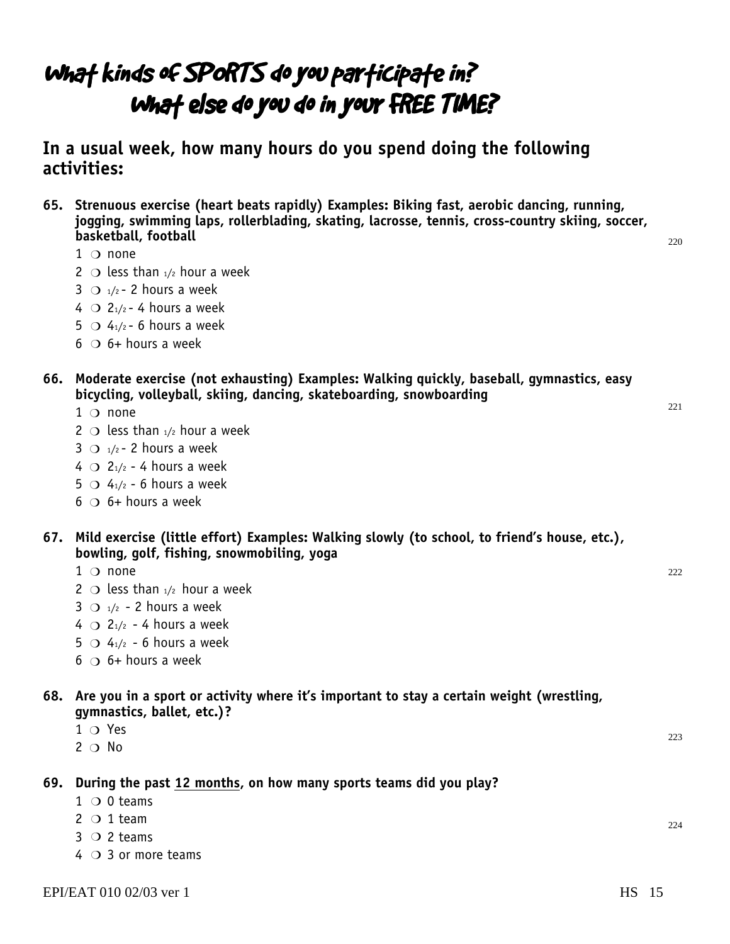### What kinds of SPORTS do you participate in? What else do you do in your FREE TIME?

**In a usual week, how many hours do you spend doing the following activities:**

**65. Strenuous exercise (heart beats rapidly) Examples: Biking fast, aerobic dancing, running, jogging, swimming laps, rollerblading, skating, lacrosse, tennis, cross-country skiing, soccer, basketball, football**

- $1$  O none
- 2  $\circ$  less than  $1/2$  hour a week
- $3$  O  $1/2$  2 hours a week
- $4$  O  $2_{1/2}$  4 hours a week
- $5$   $\bigcirc$   $4_{1/2}$  6 hours a week
- $6$   $\circ$  6+ hours a week
- **66. Moderate exercise (not exhausting) Examples: Walking quickly, baseball, gymnastics, easy bicycling, volleyball, skiing, dancing, skateboarding, snowboarding**
	- $1$   $\circ$  none
	- 2  $\circ$  less than  $\frac{1}{2}$  hour a week
	- $3 \bigcirc$  1/2 2 hours a week
	- $4 \bigcirc 2_{1/2}$  4 hours a week
	- $5 \bigcirc 4_{1/2}$  6 hours a week
	- $6$   $\circ$  6+ hours a week

#### **67. Mild exercise (little effort) Examples: Walking slowly (to school, to friend's house, etc.), bowling, golf, fishing, snowmobiling, yoga**

- $1$   $\circ$  none
- 2  $\bigcirc$  less than  $\frac{1}{2}$  hour a week
- $3 \circ 1/2 2$  hours a week
- 4  $\bigcirc$  2<sub>1</sub>/<sub>2</sub> 4 hours a week
- $5 \bigcirc 4_{1/2}$  6 hours a week
- $6$   $\circ$  6+ hours a week

#### **68. Are you in a sport or activity where it's important to stay a certain weight (wrestling, gymnastics, ballet, etc.)?**

- $1$  O Yes
- $2^{\circ}$  No

#### **69. During the past 12 months, on how many sports teams did you play?**

- $1 \circ 0$  teams
- $2 \circ 1$  team
- $3$  O 2 teams
- $4 \circ 3$  or more teams

 $222$ 

220

221

224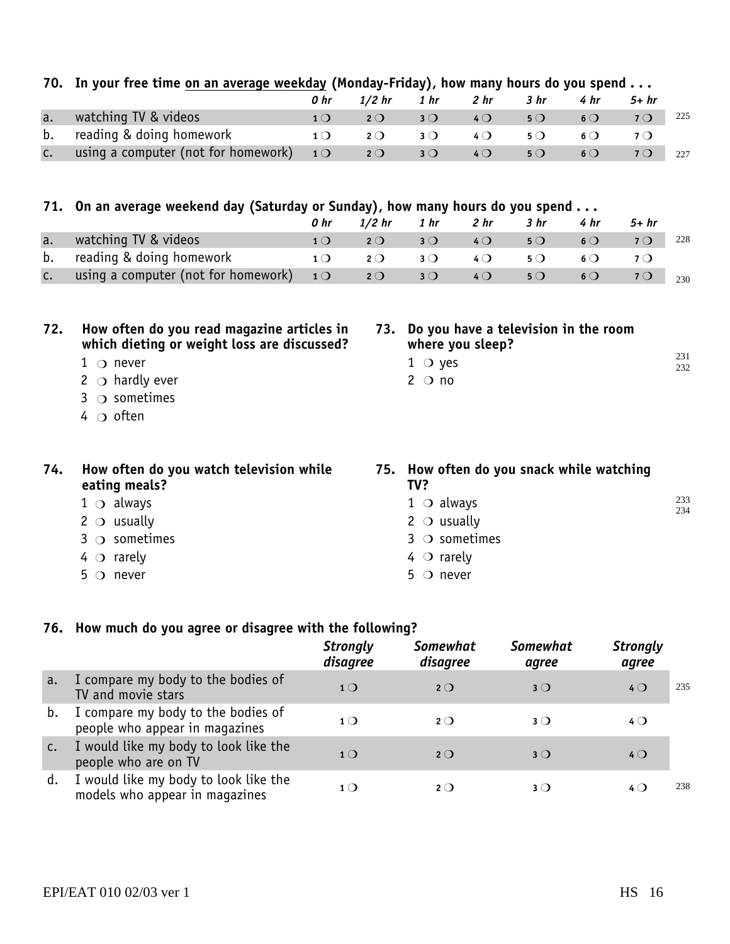|     | 70. In your free time on an average weekday (Monday-Friday), how many hours do you spend  |                 |             |                       |                                                              |                 |                 |             |            |
|-----|-------------------------------------------------------------------------------------------|-----------------|-------------|-----------------------|--------------------------------------------------------------|-----------------|-----------------|-------------|------------|
|     |                                                                                           | 0 <sub>hr</sub> | $1/2$ hr    | 1 <sub>hr</sub>       | 2 <sub>hr</sub>                                              | 3 <sub>hr</sub> | 4 <sub>hr</sub> | $5+hr$      |            |
| a.  | watching TV & videos                                                                      | 10              | $2^{\circ}$ | $3^{\circ}$           | 40                                                           | 5O              | $6\circ$        | 70          | 225        |
| b.  | reading & doing homework                                                                  | 1 <sub>O</sub>  | $2^{\circ}$ | $3^{\circ}$           | $4\Omega$                                                    | $5^{\circ}$     | $6\circ$        | $7^{\circ}$ |            |
| c.  | using a computer (not for homework)                                                       | 10              | $2^{\circ}$ | $3^{\circ}$           | 40                                                           | 50              | 60              | 70          | 227        |
|     |                                                                                           |                 |             |                       |                                                              |                 |                 |             |            |
|     | 71. On an average weekend day (Saturday or Sunday), how many hours do you spend           |                 |             |                       |                                                              |                 |                 |             |            |
|     |                                                                                           | 0 <sub>hr</sub> | $1/2$ hr    | 1 <sub>hr</sub>       | 2 <sub>hr</sub>                                              | 3 <sub>hr</sub> | 4hr             | $5+hr$      |            |
| a.  | watching TV & videos                                                                      | 10              | $2^{\circ}$ | $3^{\circ}$           | 40                                                           | 50              | 60              | 70          | 228        |
| b.  | reading & doing homework                                                                  | $1^{\circ}$     | $2^{\circ}$ | $3^{\circ}$           | $4\Omega$                                                    | $5^{\circ}$     | $6\circ$        | $7^{\circ}$ |            |
| c.  | using a computer (not for homework)                                                       | 10              | $2^{\circ}$ | $3^{\circ}$           | 40                                                           | 50              | 60              | 70          | 230        |
|     |                                                                                           |                 |             |                       |                                                              |                 |                 |             |            |
| 72. | How often do you read magazine articles in<br>which dieting or weight loss are discussed? |                 |             |                       | 73. Do you have a television in the room<br>where you sleep? |                 |                 |             |            |
|     | $1 \cap$ never                                                                            |                 |             | $1$ O yes             |                                                              |                 |                 |             | 231<br>232 |
|     | 2 $\circ$ hardly ever                                                                     |                 |             | $2$ O no              |                                                              |                 |                 |             |            |
|     | $\circ$ sometimes<br>3                                                                    |                 |             |                       |                                                              |                 |                 |             |            |
|     | $4\circ$ often                                                                            |                 |             |                       |                                                              |                 |                 |             |            |
|     |                                                                                           |                 |             |                       |                                                              |                 |                 |             |            |
| 74. | How often do you watch television while<br>eating meals?                                  |                 |             | TV?                   | 75. How often do you snack while watching                    |                 |                 |             |            |
|     | $1 \circ$ always                                                                          |                 |             | $1 \circ$ always      |                                                              |                 |                 |             | 233<br>234 |
|     | $2 \circ$ usually                                                                         |                 |             | $2 \circ$ usually     |                                                              |                 |                 |             |            |
|     | $3 \circ$ sometimes                                                                       |                 |             | $3$ $\circ$ sometimes |                                                              |                 |                 |             |            |
|     | $4 \circ$ rarely                                                                          |                 |             | $4 \circ$ rarely      |                                                              |                 |                 |             |            |
|     | $5^\circ$ never                                                                           |                 |             | $5$ O never           |                                                              |                 |                 |             |            |

#### **76. How much do you agree or disagree with the following?**

|    |                                                                         | <b>Strongly</b><br>disagree | <b>Somewhat</b><br>disagree | <b>Somewhat</b><br>agree | <b>Strongly</b><br>agree |
|----|-------------------------------------------------------------------------|-----------------------------|-----------------------------|--------------------------|--------------------------|
| a. | I compare my body to the bodies of<br>TV and movie stars                | $1$ $\bigcirc$              | 2O                          | $3$ $\bigcirc$           | 235<br>$4$ $\bigcirc$    |
| b. | I compare my body to the bodies of<br>people who appear in magazines    | 1 <sub>O</sub>              | $2^{\circ}$                 | $3$ $\bigcirc$           | $4$ $\bigcirc$           |
| c. | I would like my body to look like the<br>people who are on TV           | $1$ $\bigcirc$              | $2^{\circ}$                 | $3^{\circ}$              | $4$ $\bigcirc$           |
| d. | I would like my body to look like the<br>models who appear in magazines | 1()                         | $2\Omega$                   | $3$ $\bigcirc$           | 238<br>4 Q               |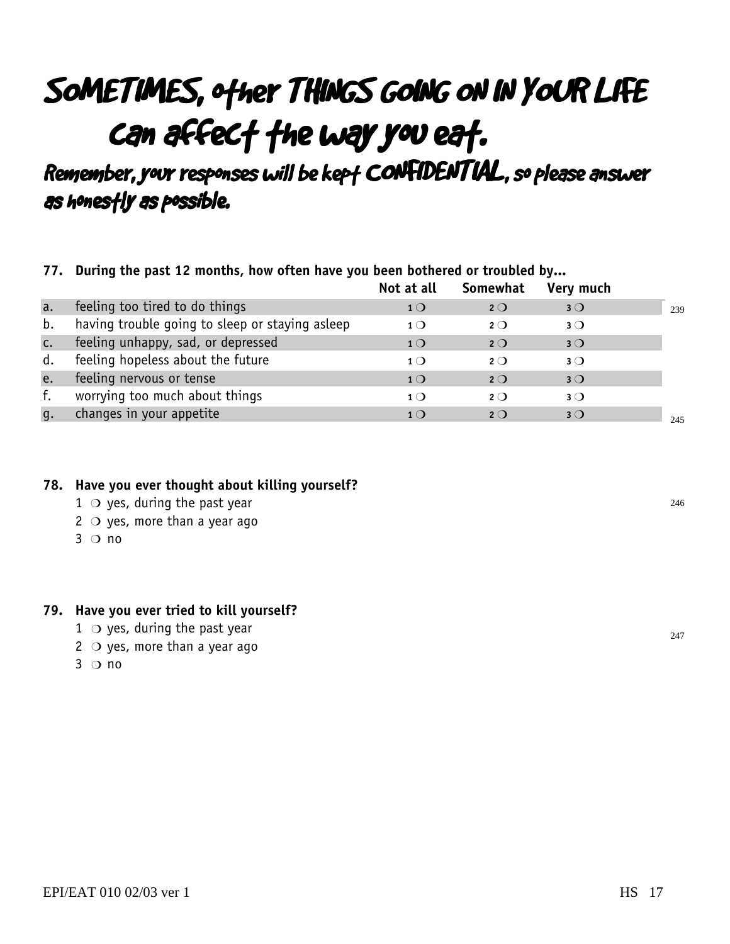## SOMETIMES, other THINGS GOING ON IN YOUR LIFE can affect the way you eat.

Remember, your responses will be kept CONFIDENTIAL, so please answer as honestly as possible.

#### **77. During the past 12 months, how often have you been bothered or troubled by...**

|              |                                                 | Not at all     | Somewhat    | Very much   |     |
|--------------|-------------------------------------------------|----------------|-------------|-------------|-----|
| a.           | feeling too tired to do things                  | 1 <sub>O</sub> | $2^{\circ}$ | $3^{\circ}$ | 239 |
| b.           | having trouble going to sleep or staying asleep | 1 <sub>O</sub> | $2^{\circ}$ | $3^{\circ}$ |     |
| C.           | feeling unhappy, sad, or depressed              | 1 <sup>O</sup> | $2^{\circ}$ | $3^{\circ}$ |     |
| d.           | feeling hopeless about the future               | 1 <sub>O</sub> | $2^{\circ}$ | $3^{\circ}$ |     |
| e.           | feeling nervous or tense                        | 1 <sub>O</sub> | $2^{\circ}$ | $3^{\circ}$ |     |
| f.           | worrying too much about things                  | 1 <sub>O</sub> | $2^{\circ}$ | $3^{\circ}$ |     |
| $\mathsf{q}$ | changes in your appetite                        | 1 <sub>O</sub> | $2^{\circ}$ | $3^{\circ}$ | 245 |

#### **78. Have you ever thought about killing yourself?**

- $1$   $\circ$  yes, during the past year
- $2 \circ$  yes, more than a year ago
- $3$  O no

#### **79. Have you ever tried to kill yourself?**

- $1 \circ$  yes, during the past year
- $2 \circ$  yes, more than a year ago
- $3^\circ$  no

246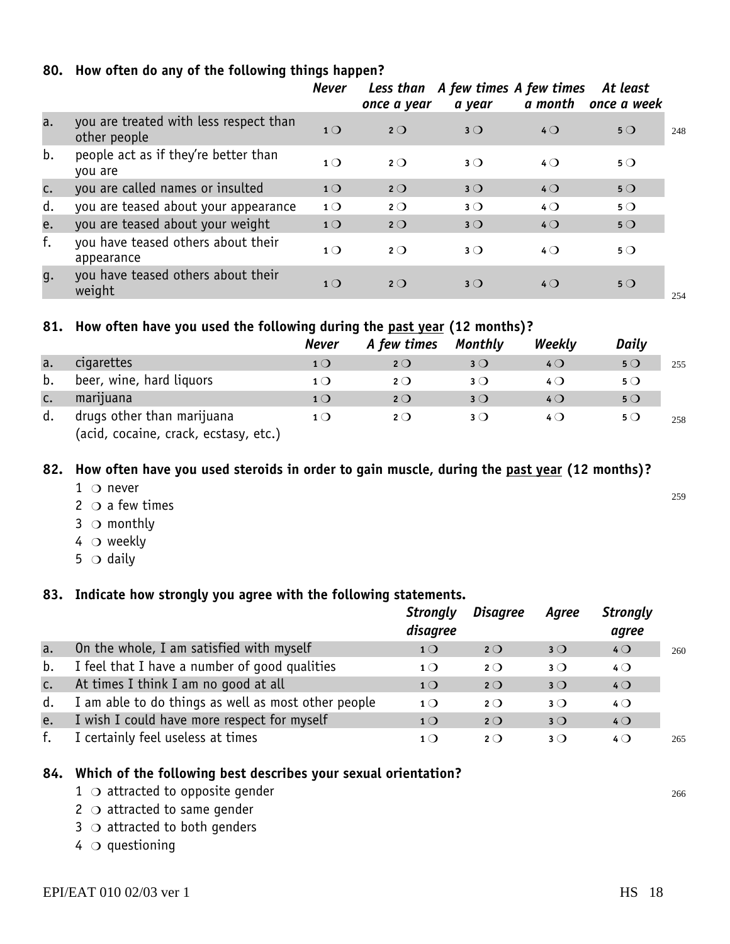|  |  | 80. How often do any of the following things happen? |  |  |  |  |  |
|--|--|------------------------------------------------------|--|--|--|--|--|
|--|--|------------------------------------------------------|--|--|--|--|--|

|    |                                                        | <b>Never</b>   | once a year | Less than A few times A few times<br>a year | a month        | At least<br>once a week |     |
|----|--------------------------------------------------------|----------------|-------------|---------------------------------------------|----------------|-------------------------|-----|
| a. | you are treated with less respect than<br>other people | 1 <sub>O</sub> | $2^{\circ}$ | $3^{\circ}$                                 | $4$ $\bigcirc$ | $5^{\circ}$             | 248 |
| b. | people act as if they're better than<br>you are        | 1 <sub>O</sub> | $2^{\circ}$ | $3^{\circ}$                                 | $4\Omega$      | $5^{\circ}$             |     |
| c. | you are called names or insulted                       | 1 <sub>O</sub> | $2^{\circ}$ | $3^{\circ}$                                 | $4$ $\bigcirc$ | $5^{\circ}$             |     |
| d. | you are teased about your appearance                   | 1 <sup>O</sup> | $2^{\circ}$ | $3^{\circ}$                                 | $4$ $\bigcirc$ | $5^{\circ}$             |     |
| e. | you are teased about your weight                       | 1 <sup>O</sup> | $2^{\circ}$ | $3^{\circ}$                                 | $4$ $\bigcirc$ | $5^{\circ}$             |     |
| f. | you have teased others about their<br>appearance       | $1^{\circ}$    | $2^{\circ}$ | $3^{\circ}$                                 | $4$ $\Omega$   | $5^{\circ}$             |     |
| q. | you have teased others about their<br>weight           | 1 <sub>O</sub> | $2^{\circ}$ | $3^{\circ}$                                 | $4\Omega$      | $5^{\circ}$             | 254 |

#### **81. How often have you used the following during the past year (12 months)?**

|    |                                                                 | Never          | A few times | Monthly     | Weekly   | Daily       |     |
|----|-----------------------------------------------------------------|----------------|-------------|-------------|----------|-------------|-----|
| a. | cigarettes                                                      | 1()            | 2O          | $3^{\circ}$ | $4\circ$ | $5^{\circ}$ | 255 |
| b. | beer, wine, hard liquors                                        | $1$ $\bigcirc$ | 2O          | 3()         | 4 Q      | $5^{\circ}$ |     |
| C. | marijuana                                                       | 1 <sub>O</sub> | 2O          | 3()         | $4$ (    | $5^{\circ}$ |     |
| d. | drugs other than marijuana<br>(arid coraine crack ecstasy etc.) | $1^{\circ}$    | 2O          | 3()         | 4 Q      | $5^{\circ}$ | 258 |

(acid, cocaine, crack, ecstasy, etc.)

#### **82. How often have you used steroids in order to gain muscle, during the past year (12 months)?**

- $1$   $\bigcirc$  never
- $2$   $\circ$  a few times
- $3$   $\circ$  monthly
- $4\circ$  weekly
- 5  $\circ$  daily

#### **83. Indicate how strongly you agree with the following statements.**

|    |                                                     | <b>Strongly</b><br>disagree | <b>Disagree</b> | Agree       | <b>Strongly</b><br>agree |     |
|----|-----------------------------------------------------|-----------------------------|-----------------|-------------|--------------------------|-----|
| a. | On the whole, I am satisfied with myself            | 1 <sub>O</sub>              | $2^{\circ}$     | $3^{\circ}$ | $4$ $\bigcirc$           | 260 |
| b. | I feel that I have a number of good qualities       | $1^{\circ}$                 | $2^{\circ}$     | $3^{\circ}$ | $4^{\circ}$              |     |
| c. | At times I think I am no good at all                | 1 <sub>O</sub>              | $2^{\circ}$     | $3^{\circ}$ | $4$ $\bigcirc$           |     |
| d. | I am able to do things as well as most other people | $1\Omega$                   | $2^{\circ}$     | $3^{\circ}$ | $4$ $\bigcirc$           |     |
| e. | I wish I could have more respect for myself         | 1 <sub>O</sub>              | $2^{\circ}$     | $3^{\circ}$ | 40                       |     |
| f. | I certainly feel useless at times                   | 1()                         | $2\Omega$       | $3^{\circ}$ | $4\bigcirc$              | 265 |

#### **84. Which of the following best describes your sexual orientation?**

- 1  $\circ$  attracted to opposite gender and the set of the set of the set of the set of the set of the set of the set of the set of the set of the set of the set of the set of the set of the set of the set of the set of the s
- $2$   $\circ$  attracted to same gender
- $3$   $\circ$  attracted to both genders
- $4\,$   $\circ$  questioning